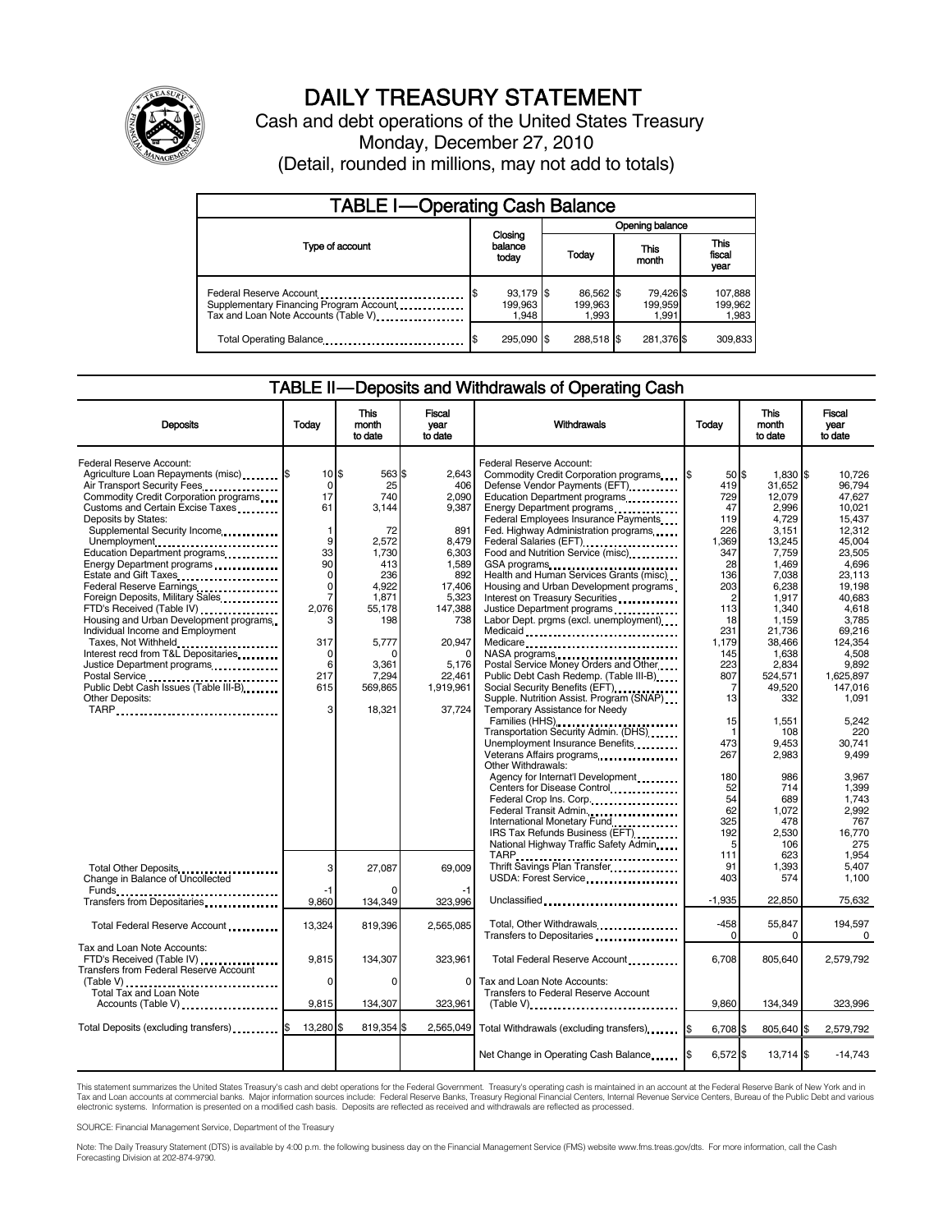

# DAILY TREASURY STATEMENT

Cash and debt operations of the United States Treasury Monday, December 27, 2010 (Detail, rounded in millions, may not add to totals)

| <b>TABLE I-Operating Cash Balance</b>                                                                      |                                     |                               |                               |                             |  |  |  |
|------------------------------------------------------------------------------------------------------------|-------------------------------------|-------------------------------|-------------------------------|-----------------------------|--|--|--|
|                                                                                                            |                                     | Opening balance               |                               |                             |  |  |  |
| Type of account                                                                                            | Closing<br>balance<br>today         | Today                         | This<br>month                 | This<br>fiscal<br>year      |  |  |  |
| Federal Reserve Account<br>Supplementary Financing Program Account<br>Tax and Loan Note Accounts (Table V) | 93,179 \$<br>\$<br>199,963<br>1.948 | 86,562 \$<br>199.963<br>1,993 | 79,426 \$<br>199,959<br>1.991 | 107,888<br>199,962<br>1,983 |  |  |  |
| Total Operating Balance                                                                                    | 295.090 \$                          | 288,518 \$                    | 281,376 \$                    | 309,833                     |  |  |  |

### TABLE II — Deposits and Withdrawals of Operating Cash

| <b>Deposits</b>                                                                                                                                                                                                                                                                                                                               | Today                                                                            | This<br>month<br>to date                                           | <b>Fiscal</b><br>year<br>to date                                        | <b>Withdrawals</b>                                                                                                                                                                                                                                                                                                                                | <b>Today</b>                                                                      | <b>This</b><br>month<br>to date                                                              | Fiscal<br>vear<br>to date                                                                       |
|-----------------------------------------------------------------------------------------------------------------------------------------------------------------------------------------------------------------------------------------------------------------------------------------------------------------------------------------------|----------------------------------------------------------------------------------|--------------------------------------------------------------------|-------------------------------------------------------------------------|---------------------------------------------------------------------------------------------------------------------------------------------------------------------------------------------------------------------------------------------------------------------------------------------------------------------------------------------------|-----------------------------------------------------------------------------------|----------------------------------------------------------------------------------------------|-------------------------------------------------------------------------------------------------|
| Federal Reserve Account:<br>Agriculture Loan Repayments (misc) \$<br>Air Transport Security Fees.<br>Commodity Credit Corporation programs<br>Customs and Certain Excise Taxes<br>Deposits by States:<br>Supplemental Security Income<br>Unemployment<br>Education Department programs<br>Energy Department programs<br>Estate and Gift Taxes | 10 <sub>15</sub><br>$\mathbf 0$<br>17<br>61<br>1<br>9<br>33<br>90<br>$\mathbf 0$ | 563 \$<br>25<br>740<br>3.144<br>72<br>2.572<br>1.730<br>413<br>236 | 2.643<br>406<br>2,090<br>9,387<br>891<br>8.479<br>6.303<br>1,589<br>892 | Federal Reserve Account:<br>Commodity Credit Corporation programs<br>Defense Vendor Payments (EFT)<br>Education Department programs<br>Energy Department programs<br>Federal Employees Insurance Payments<br>Fed. Highway Administration programs<br>Food and Nutrition Service (misc)<br>GSA programs<br>Health and Human Services Grants (misc) | $50$ $\frac{1}{3}$<br>419<br>729<br>47<br>119<br>226<br>1,369<br>347<br>28<br>136 | 1,830 \$<br>31,652<br>12,079<br>2.996<br>4.729<br>3,151<br>13,245<br>7.759<br>1,469<br>7,038 | 10.726<br>96.794<br>47.627<br>10.021<br>15.437<br>12.312<br>45.004<br>23.505<br>4,696<br>23,113 |
| Federal Reserve Earnings<br>Foreign Deposits, Military Sales<br>FTD's Received (Table IV)<br>Housing and Urban Development programs<br>Individual Income and Employment<br>Taxes, Not Withheld                                                                                                                                                | 0<br>7<br>2,076<br>з<br>317                                                      | 4,922<br>1,871<br>55,178<br>198<br>5,777                           | 17,406<br>5,323<br>147,388<br>738<br>20,947                             | Housing and Urban Development programs<br>Interest on Treasury Securities<br>Justice Department programs<br><br>Labor Dept. prgms (excl. unemployment)<br>Medicaid<br>Medicare                                                                                                                                                                    | 203<br>$\overline{c}$<br>113<br>18<br>231<br>1,179                                | 6,238<br>1,917<br>1,340<br>1,159<br>21,736<br>38,466                                         | 19.198<br>40,683<br>4,618<br>3,785<br>69.216<br>124,354                                         |
| Interest recd from T&L Depositaries<br>Justice Department programs<br>Public Debt Cash Issues (Table III-B)<br>Other Deposits:                                                                                                                                                                                                                | 0<br>6<br>217<br>615<br>3                                                        | 3,361<br>7,294<br>569,865<br>18,321                                | $\Omega$<br>5,176<br>22,461<br>1,919,961<br>37,724                      | Postal Service Money Orders and Other<br>Public Debt Cash Redemp. (Table III-B)<br>Social Security Benefits (EFT)<br>Supple. Nutrition Assist. Program (SNAP)<br>Temporary Assistance for Needy                                                                                                                                                   | 145<br>223<br>807<br>$\overline{7}$<br>13                                         | 1,638<br>2.834<br>524,571<br>49,520<br>332                                                   | 4,508<br>9.892<br>1,625,897<br>147,016<br>1.091                                                 |
| TARP                                                                                                                                                                                                                                                                                                                                          |                                                                                  |                                                                    |                                                                         | Families (HHS)<br>Transportation Security Admin. (DHS)<br>Unemployment Insurance Benefits<br>Other Withdrawals:                                                                                                                                                                                                                                   | 15<br>-1<br>473<br>267                                                            | 1,551<br>108<br>9,453<br>2,983                                                               | 5,242<br>220<br>30,741<br>9,499                                                                 |
|                                                                                                                                                                                                                                                                                                                                               |                                                                                  |                                                                    |                                                                         | Agency for Internat'l Development<br>Centers for Disease Control<br>Federal Crop Ins. Corp<br>Federal Transit Admin.<br>International Monetary Fund<br>IRS Tax Refunds Business (EFT)<br>National Highway Traffic Safety Admin                                                                                                                    | 180<br>52<br>54<br>62<br>325<br>192<br>5                                          | 986<br>714<br>689<br>1.072<br>478<br>2,530<br>106                                            | 3.967<br>1,399<br>1,743<br>2.992<br>767<br>16.770<br>275                                        |
| Total Other Deposits<br>Change in Balance of Uncollected                                                                                                                                                                                                                                                                                      | 3<br>-1                                                                          | 27,087                                                             | 69,009<br>-1                                                            | TARP<br>Thrift Savings Plan Transfer<br>USDA: Forest Service                                                                                                                                                                                                                                                                                      | 111<br>91<br>403                                                                  | 623<br>1,393<br>574                                                                          | 1.954<br>5.407<br>1.100                                                                         |
| Transfers from Depositaries                                                                                                                                                                                                                                                                                                                   | 9,860                                                                            | 134,349                                                            | 323,996                                                                 | Unclassified                                                                                                                                                                                                                                                                                                                                      | $-1,935$                                                                          | 22,850                                                                                       | 75,632                                                                                          |
| Total Federal Reserve Account                                                                                                                                                                                                                                                                                                                 | 13,324                                                                           | 819,396                                                            | 2,565,085                                                               | Total, Other Withdrawals<br>Transfers to Depositaries                                                                                                                                                                                                                                                                                             | -458<br>$\Omega$                                                                  | 55,847<br>0                                                                                  | 194,597<br>0                                                                                    |
| Tax and Loan Note Accounts:<br>FTD's Received (Table IV)<br>Transfers from Federal Reserve Account                                                                                                                                                                                                                                            | 9,815                                                                            | 134,307                                                            | 323,961                                                                 | Total Federal Reserve Account                                                                                                                                                                                                                                                                                                                     | 6,708                                                                             | 805,640                                                                                      | 2,579,792                                                                                       |
| Total Tax and Loan Note<br>Accounts (Table V)                                                                                                                                                                                                                                                                                                 | 0<br>9.815                                                                       | $\Omega$<br>134,307                                                | $\Omega$<br>323,961                                                     | Tax and Loan Note Accounts:<br>Transfers to Federal Reserve Account<br>$(Table V)$ ,                                                                                                                                                                                                                                                              | 9.860                                                                             | 134.349                                                                                      | 323,996                                                                                         |
| Total Deposits (excluding transfers)                                                                                                                                                                                                                                                                                                          | 13,280 \$                                                                        | 819,354 \$                                                         | 2,565,049                                                               | Total Withdrawals (excluding transfers)   \$                                                                                                                                                                                                                                                                                                      | 6,708 \$                                                                          | 805,640 \$                                                                                   | 2,579,792                                                                                       |
|                                                                                                                                                                                                                                                                                                                                               |                                                                                  |                                                                    |                                                                         | Net Change in Operating Cash Balance                                                                                                                                                                                                                                                                                                              | $6,572$ \$                                                                        | $13,714$ $\frac{1}{3}$                                                                       | $-14,743$                                                                                       |

This statement summarizes the United States Treasury's cash and debt operations for the Federal Government. Treasury's operating cash is maintained in an account at the Federal Reserve Bank of New York and in<br>Tax and Loan electronic systems. Information is presented on a modified cash basis. Deposits are reflected as received and withdrawals are reflected as processed.

SOURCE: Financial Management Service, Department of the Treasury

Note: The Daily Treasury Statement (DTS) is available by 4:00 p.m. the following business day on the Financial Management Service (FMS) website www.fms.treas.gov/dts. For more information, call the Cash Forecasting Division at 202-874-9790.